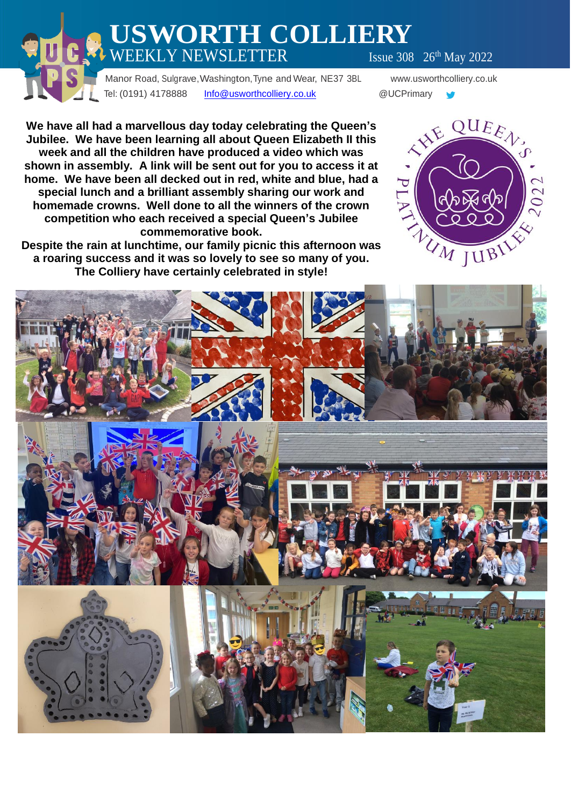# **USWORTH COLLIERY**  $\text{WEEKLY NEWSLETTER}$  Issue 308  $26^{\text{th}}$  May 2022

 Manor Road, Sulgrave,Washington,Tyne and Wear, NE37 3BL www.usworthcolliery.co.uk Tel: (0191) 4178888 [Info@usworthcolliery.co.uk](mailto:Info@usworthcolliery.co.uk) @UCPrimary

 $\bullet$ 

**We have all had a marvellous day today celebrating the Queen's Jubilee. We have been learning all about Queen Elizabeth II this week and all the children have produced a video which was shown in assembly. A link will be sent out for you to access it at home. We have been all decked out in red, white and blue, had a special lunch and a brilliant assembly sharing our work and homemade crowns. Well done to all the winners of the crown competition who each received a special Queen's Jubilee commemorative book.**

**Despite the rain at lunchtime, our family picnic this afternoon was a roaring success and it was so lovely to see so many of you. The Colliery have certainly celebrated in style!**